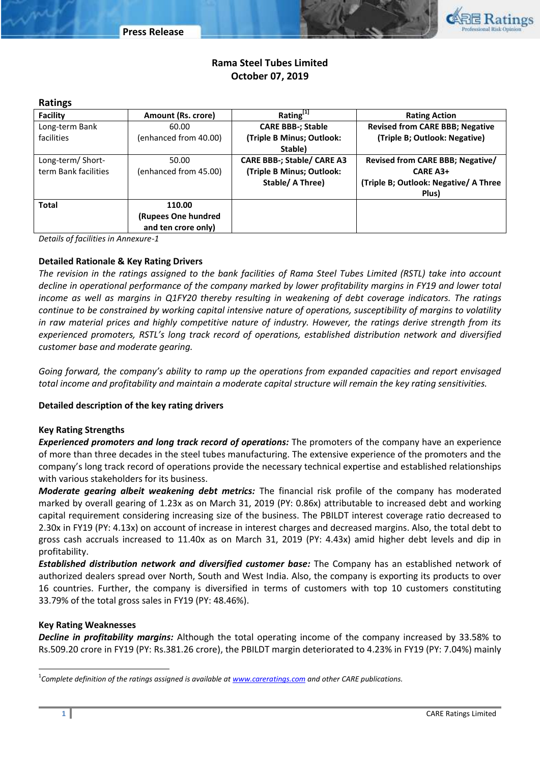

# **Rama Steel Tubes Limited October 07, 2019**

#### **Ratings**

| Facility             | <b>Amount (Rs. crore)</b> | Rating <sup>[1]</sup>      | <b>Rating Action</b>                   |  |  |
|----------------------|---------------------------|----------------------------|----------------------------------------|--|--|
| Long-term Bank       | 60.00                     | <b>CARE BBB-; Stable</b>   | <b>Revised from CARE BBB; Negative</b> |  |  |
| <b>facilities</b>    | (enhanced from 40.00)     | (Triple B Minus; Outlook:  | (Triple B; Outlook: Negative)          |  |  |
|                      |                           | Stable)                    |                                        |  |  |
| Long-term/Short-     | 50.00                     | CARE BBB-; Stable/ CARE A3 | Revised from CARE BBB; Negative/       |  |  |
| term Bank facilities | (enhanced from 45.00)     | (Triple B Minus; Outlook:  | <b>CARE A3+</b>                        |  |  |
|                      |                           | Stable/ A Three)           | (Triple B; Outlook: Negative/ A Three  |  |  |
|                      |                           |                            | Plus)                                  |  |  |
| <b>Total</b>         | 110.00                    |                            |                                        |  |  |
|                      | (Rupees One hundred       |                            |                                        |  |  |
|                      | and ten crore only)       |                            |                                        |  |  |

*Details of facilities in Annexure-1*

## **Detailed Rationale & Key Rating Drivers**

*The revision in the ratings assigned to the bank facilities of Rama Steel Tubes Limited (RSTL) take into account decline in operational performance of the company marked by lower profitability margins in FY19 and lower total income as well as margins in Q1FY20 thereby resulting in weakening of debt coverage indicators. The ratings continue to be constrained by working capital intensive nature of operations, susceptibility of margins to volatility in raw material prices and highly competitive nature of industry. However, the ratings derive strength from its experienced promoters, RSTL's long track record of operations, established distribution network and diversified customer base and moderate gearing.*

*Going forward, the company's ability to ramp up the operations from expanded capacities and report envisaged total income and profitability and maintain a moderate capital structure will remain the key rating sensitivities.*

## **Detailed description of the key rating drivers**

## **Key Rating Strengths**

*Experienced promoters and long track record of operations:* The promoters of the company have an experience of more than three decades in the steel tubes manufacturing. The extensive experience of the promoters and the company's long track record of operations provide the necessary technical expertise and established relationships with various stakeholders for its business.

*Moderate gearing albeit weakening debt metrics:* The financial risk profile of the company has moderated marked by overall gearing of 1.23x as on March 31, 2019 (PY: 0.86x) attributable to increased debt and working capital requirement considering increasing size of the business. The PBILDT interest coverage ratio decreased to 2.30x in FY19 (PY: 4.13x) on account of increase in interest charges and decreased margins. Also, the total debt to gross cash accruals increased to 11.40x as on March 31, 2019 (PY: 4.43x) amid higher debt levels and dip in profitability.

*Established distribution network and diversified customer base:* The Company has an established network of authorized dealers spread over North, South and West India. Also, the company is exporting its products to over 16 countries. Further, the company is diversified in terms of customers with top 10 customers constituting 33.79% of the total gross sales in FY19 (PY: 48.46%).

#### **Key Rating Weaknesses**

*Decline in profitability margins:* Although the total operating income of the company increased by 33.58% to Rs.509.20 crore in FY19 (PY: Rs.381.26 crore), the PBILDT margin deteriorated to 4.23% in FY19 (PY: 7.04%) mainly

 $\overline{a}$ 

<sup>1</sup> *Complete definition of the ratings assigned is available a[t www.careratings.com](http://www.careratings.com/) and other CARE publications.*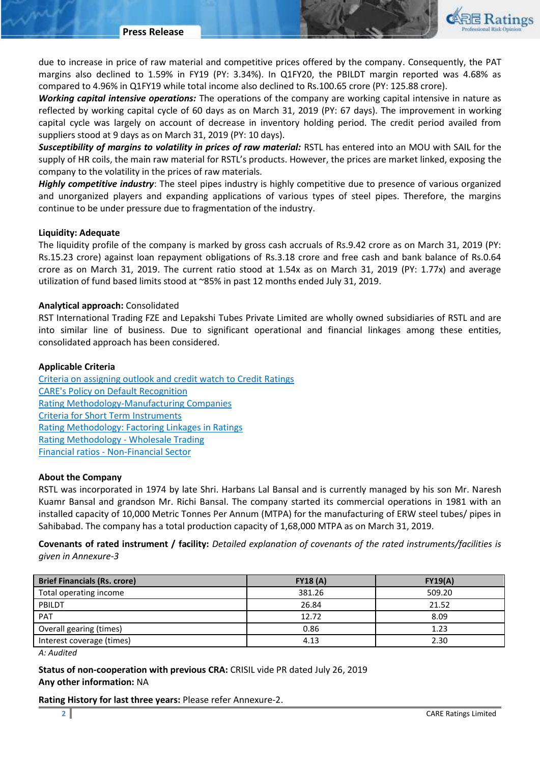

due to increase in price of raw material and competitive prices offered by the company. Consequently, the PAT margins also declined to 1.59% in FY19 (PY: 3.34%). In Q1FY20, the PBILDT margin reported was 4.68% as compared to 4.96% in Q1FY19 while total income also declined to Rs.100.65 crore (PY: 125.88 crore).

*Working capital intensive operations:* The operations of the company are working capital intensive in nature as reflected by working capital cycle of 60 days as on March 31, 2019 (PY: 67 days). The improvement in working capital cycle was largely on account of decrease in inventory holding period. The credit period availed from suppliers stood at 9 days as on March 31, 2019 (PY: 10 days).

*Susceptibility of margins to volatility in prices of raw material:* RSTL has entered into an MOU with SAIL for the supply of HR coils, the main raw material for RSTL's products. However, the prices are market linked, exposing the company to the volatility in the prices of raw materials.

*Highly competitive industry*: The steel pipes industry is highly competitive due to presence of various organized and unorganized players and expanding applications of various types of steel pipes. Therefore, the margins continue to be under pressure due to fragmentation of the industry.

#### **Liquidity: Adequate**

The liquidity profile of the company is marked by gross cash accruals of Rs.9.42 crore as on March 31, 2019 (PY: Rs.15.23 crore) against loan repayment obligations of Rs.3.18 crore and free cash and bank balance of Rs.0.64 crore as on March 31, 2019. The current ratio stood at 1.54x as on March 31, 2019 (PY: 1.77x) and average utilization of fund based limits stood at ~85% in past 12 months ended July 31, 2019.

### **Analytical approach:** Consolidated

RST International Trading FZE and Lepakshi Tubes Private Limited are wholly owned subsidiaries of RSTL and are into similar line of business. Due to significant operational and financial linkages among these entities, consolidated approach has been considered.

### **Applicable Criteria**

[Criteria on assigning outlook and credit watch to Credit Ratings](http://www.careratings.com/pdf/resources/Rating_Outlook_and_credit_watch_May_2019.pdf) [CARE's Policy on Default Recognition](http://www.careratings.com/pdf/resources/CARE) [Rating Methodology-Manufacturing Companies](http://www.careratings.com/upload/NewsFiles/GetRated/RatingMethodology-ManufacturingCompanies-05-Sept-2018.pdf) [Criteria for Short Term Instruments](http://www.careratings.com/upload/NewsFiles/GetRated/ShortTermInstruments-06-Sept-2018.pdf) [Rating Methodology: Factoring Linkages in Ratings](http://www.careratings.com/upload/NewsFiles/GetRated/RatingMethodology-FactoringLinkagesinRatings-Dec-18.pdf) [Rating Methodology -](http://www.careratings.com/upload/NewsFiles/GetRated/RatingMethodology-WholesaleTrading-29-Aug-2018.pdf) Wholesale Trading Financial ratios - [Non-Financial Sector](http://www.careratings.com/pdf/resources/FinancialratiosNonFinancialSector.pdf)

#### **About the Company**

RSTL was incorporated in 1974 by late Shri. Harbans Lal Bansal and is currently managed by his son Mr. Naresh Kuamr Bansal and grandson Mr. Richi Bansal. The company started its commercial operations in 1981 with an installed capacity of 10,000 Metric Tonnes Per Annum (MTPA) for the manufacturing of ERW steel tubes/ pipes in Sahibabad. The company has a total production capacity of 1,68,000 MTPA as on March 31, 2019.

**Covenants of rated instrument / facility:** *Detailed explanation of covenants of the rated instruments/facilities is given in Annexure-3*

| <b>Brief Financials (Rs. crore)</b> | <b>FY18 (A)</b> | FY19(A) |
|-------------------------------------|-----------------|---------|
| Total operating income              | 381.26          | 509.20  |
| PBILDT                              | 26.84           | 21.52   |
| <b>PAT</b>                          | 12.72           | 8.09    |
| Overall gearing (times)             | 0.86            | 1.23    |
| Interest coverage (times)           | 4.13            | 2.30    |

*A: Audited*

**Status of non-cooperation with previous CRA: CRISIL vide PR dated July 26, 2019 Any other information:** NA

**Rating History for last three years:** Please refer Annexure-2.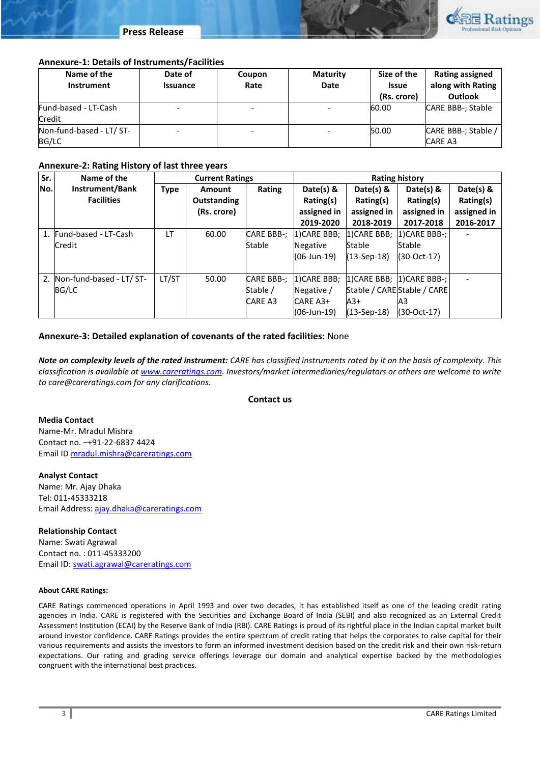

#### **Annexure-1: Details of Instruments/Facilities**

| Name of the<br>Instrument | Date of<br><b>Issuance</b> | Coupon<br>Rate | <b>Maturity</b><br><b>Date</b> | Size of the<br><b>Issue</b><br>(Rs. crore) | Rating assigned<br>along with Rating<br><b>Outlook</b> |
|---------------------------|----------------------------|----------------|--------------------------------|--------------------------------------------|--------------------------------------------------------|
| Fund-based - LT-Cash      |                            |                |                                | 60.00                                      | CARE BBB-; Stable                                      |
| <b>Credit</b>             |                            |                |                                |                                            |                                                        |
| Non-fund-based - LT/ ST-  |                            |                |                                | 50.00                                      | CARE BBB-; Stable /                                    |
| BG/LC                     |                            |                |                                |                                            | <b>CARE A3</b>                                         |

### **Annexure-2: Rating History of last three years**

| Sr. | Name of the                 | <b>Current Ratings</b> |             | <b>Rating history</b> |              |                                         |                             |             |
|-----|-----------------------------|------------------------|-------------|-----------------------|--------------|-----------------------------------------|-----------------------------|-------------|
| No. | Instrument/Bank             | <b>Type</b>            | Amount      | Rating                | Date(s) $8$  | Date(s) $\&$                            | Date(s) $8$                 | Date(s) &   |
|     | <b>Facilities</b>           |                        | Outstanding |                       | Rating(s)    | Rating(s)                               | Rating(s)                   | Rating(s)   |
|     |                             |                        | (Rs. crore) |                       | assigned in  | assigned in                             | assigned in                 | assigned in |
|     |                             |                        |             |                       | 2019-2020    | 2018-2019                               | 2017-2018                   | 2016-2017   |
|     | 1. Fund-based - LT-Cash     | <b>LT</b>              | 60.00       | <b>CARE BBB-;</b>     | 1) CARE BBB; | 1) CARE BBB;                            | 1) CARE BBB-;               |             |
|     | Credit                      |                        |             | Stable                | Negative     | <b>Stable</b>                           | Stable                      |             |
|     |                             |                        |             |                       | (06-Jun-19)  | $(13-Sep-18)$                           | $(30-Oct-17)$               |             |
|     |                             |                        |             |                       |              |                                         |                             |             |
|     | 2. Non-fund-based - LT/ ST- | LT/ST                  | 50.00       | <b>CARE BBB-:</b>     |              | 1) CARE BBB; 1) CARE BBB; 1) CARE BBB-; |                             |             |
|     | BG/LC                       |                        |             | Stable /              | Negative /   |                                         | Stable / CARE Stable / CARE |             |
|     |                             |                        |             | <b>CARE A3</b>        | CARE A3+     | $A3+$                                   | A3                          |             |
|     |                             |                        |             |                       | (06-Jun-19)  | $(13-Sep-18)$                           | $(30-Oct-17)$               |             |

#### **Annexure-3: Detailed explanation of covenants of the rated facilities:** None

*Note on complexity levels of the rated instrument: CARE has classified instruments rated by it on the basis of complexity. This classification is available at [www.careratings.com.](http://www.careratings.com/) Investors/market intermediaries/regulators or others are welcome to write to care@careratings.com for any clarifications.*

#### **Contact us**

**Media Contact** Name-Mr. Mradul Mishra Contact no. –+91-22-6837 4424 Email ID [mradul.mishra@careratings.com](mailto:mradul.mishra@careratings.com)

**Analyst Contact** Name: Mr. Ajay Dhaka Tel: 011-45333218 Email Address[: ajay.dhaka@careratings.com](mailto:ajay.dhaka@careratings.com)

**Relationship Contact**  Name: Swati Agrawal Contact no. : 011-45333200 Email ID[: swati.agrawal@careratings.com](mailto:swati.agrawal@careratings.com)

#### **About CARE Ratings:**

CARE Ratings commenced operations in April 1993 and over two decades, it has established itself as one of the leading credit rating agencies in India. CARE is registered with the Securities and Exchange Board of India (SEBI) and also recognized as an External Credit Assessment Institution (ECAI) by the Reserve Bank of India (RBI). CARE Ratings is proud of its rightful place in the Indian capital market built around investor confidence. CARE Ratings provides the entire spectrum of credit rating that helps the corporates to raise capital for their various requirements and assists the investors to form an informed investment decision based on the credit risk and their own risk-return expectations. Our rating and grading service offerings leverage our domain and analytical expertise backed by the methodologies congruent with the international best practices.